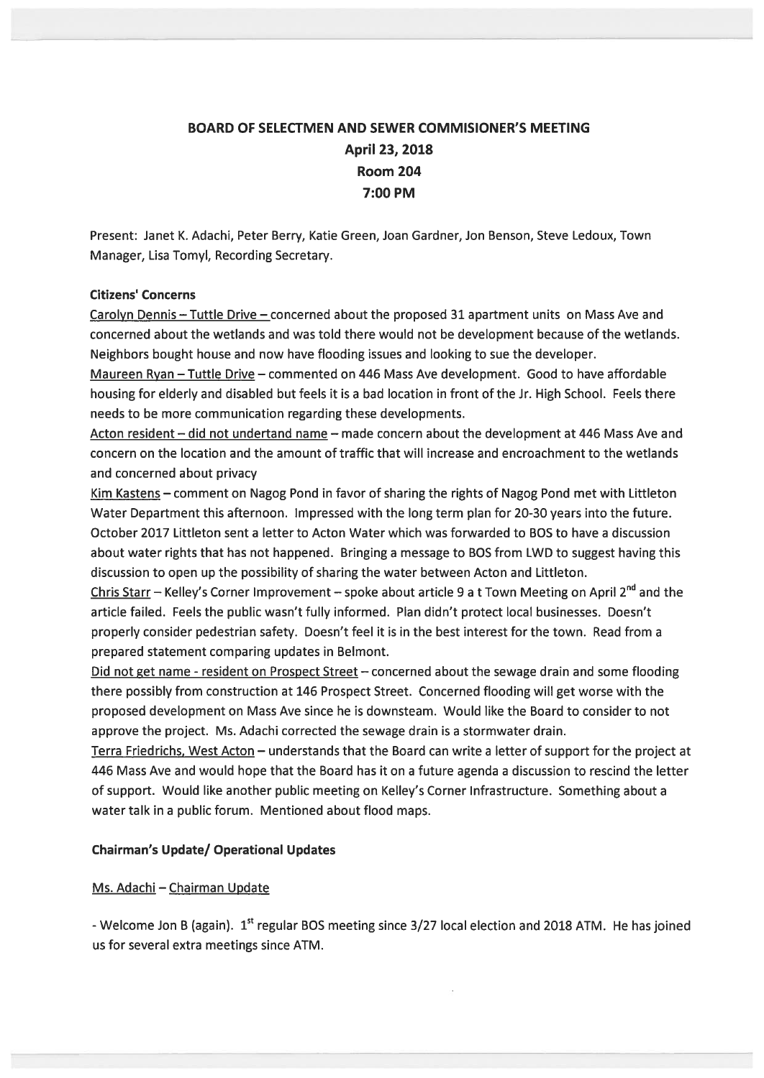# BOARD OF SELECTMEN AND SEWER COMMISIONER'S MEETING April 23, 2018 Room 204 7:00 PM

Present: Janet K. Adachi, Peter Berry, Katie Green, Joan Gardner, Jon Benson, Steve Ledoux, Town Manager, Lisa Tomyl, Recording Secretary.

## Citizens' Concerns

Carolyn Dennis — Tuttle Drive — concerned about the proposed 31 apartment units on Mass Ave and concerned about the wetlands and was told there would not be development because of the wetlands. Neighbors bought house and now have flooding issues and looking to sue the developer.

Maureen Ryan — Tuttle Drive — commented on 446 Mass Ave development. Good to have affordable housing for elderly and disabled but feels it is <sup>a</sup> bad location in front of the Jr. High School. Feels there needs to be more communication regarding these developments.

Acton resident — did not undertand name — made concern about the development at 446 Mass Ave and concern on the location and the amount of traffic that will increase and encroachment to the wetlands and concerned about privacy

Kim Kastens — comment on Nagog Pond in favor of sharing the rights of Nagog Pond met with Littleton Water Department this afternoon. Impressed with the long term plan for 20-30 years into the future. October 2017 Littleton sent <sup>a</sup> letter to Acton Water which was forwarded to BOS to have <sup>a</sup> discussion about water rights that has not happened. Bringing <sup>a</sup> message to BOS from LWD to sugges<sup>t</sup> having this discussion to open up the possibility of sharing the water between Acton and Littleton.

Chris Starr – Kelley's Corner Improvement – spoke about article 9 a t Town Meeting on April 2<sup>nd</sup> and the article tailed. Feels the public wasn't fully informed. Plan didn't protect local businesses. Doesn't properly consider pedestrian safety. Doesn't feel it is in the best interest for the town. Read from <sup>a</sup> prepared statement comparing updates in Belmont.

Did not get name - resident on Prospect Street - concerned about the sewage drain and some flooding there possibly from construction at 146 Prospect Street. Concerned flooding will ge<sup>t</sup> worse with the proposed development on Mass Ave since he is downsteam. Would like the Board to consider to not approve the project. Ms. Adachi corrected the sewage drain is <sup>a</sup> stormwater drain.

Terra Friedrichs, West Acton — understands that the Board can write <sup>a</sup> letter of suppor<sup>t</sup> for the project at 446 Mass Ave and would hope that the Board has it on <sup>a</sup> future agenda <sup>a</sup> discussion to rescind the letter of support. Would like another public meeting on Kelley's Corner Infrastructure. Something about <sup>a</sup> water talk in <sup>a</sup> public forum. Mentioned about flood maps.

# Chairman's Update/ Operational Updates

# Ms. Adachi — Chairman Update

- Welcome Jon B (again). 1<sup>st</sup> regular BOS meeting since 3/27 local election and 2018 ATM. He has joined us for several extra meetings since ATM.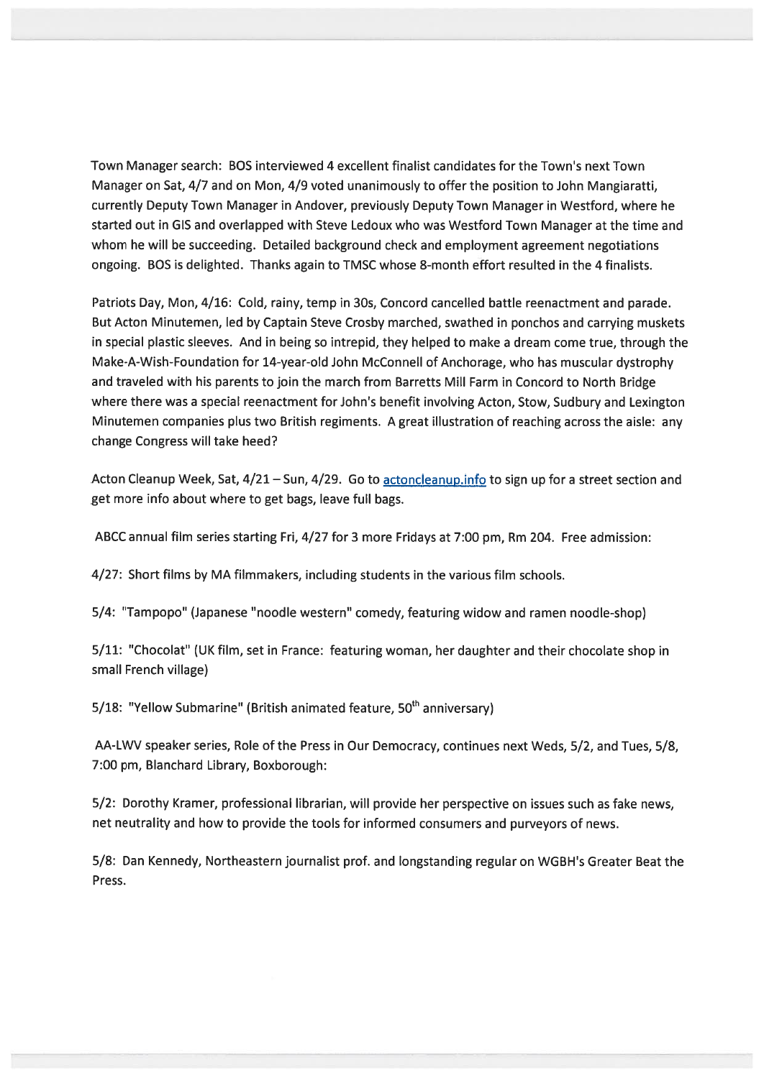Town Manager search: BOS interviewed 4 excellent finalist candidates for the Town's next Town Manager on Sat, 4/7 and on Mon, 4/9 voted unanimously to offer the position to John Mangiaratti, currently Deputy Town Manager in Andover, previously Deputy Town Manager in Westford, where he started out in GIS and overlapped with Steve Ledoux who was Westford Town Manager at the time and whom he will be succeeding. Detailed background check and employment agreemen<sup>t</sup> negotiations ongoing. BOS is delighted. Thanks again to TMSC whose 8-month effort resulted in the 4 finalists.

Patriots Day, Mon, 4/16: Cold, rainy, temp in 30s, Concord cancelled battle reenactment and parade. But Acton Minutemen, led by Captain Steve Crosby marched, swathed in ponchos and carrying muskets in special plastic sleeves. And in being so intrepid, they helped to make <sup>a</sup> dream come true, through the Make-A-Wish-Foundation for 14-year-old John McConnell of Anchorage, who has muscular dystrophy and traveled with his parents to join the march from Barretts Mill Farm in Concord to North Bridge where there was <sup>a</sup> special reenactment for John's benefit involving Acton, Stow, Sudbury and Lexington Minutemen companies plus two British regiments. A grea<sup>t</sup> illustration of reaching across the aisle: any change Congress will take heed?

Acton Cleanup Week, Sat, 4/21 - Sun, 4/29. Go to actoncleanup.info to sign up for a street section and ge<sup>t</sup> more info about where to ge<sup>t</sup> bags, leave full bags.

ABCC annual film series starting Fri, 4/27 for 3 more Fridays at 7:00 pm, Rm 204. Free admission:

4/27: Short films by MA filmmakers, including students in the various film schools.

5/4: "Tampopo" (Japanese "noodle western" comedy, featuring widow and ramen noodle-shop)

5/11: "Chocolat" (UK film, set in France: featuring woman, her daughter and their chocolate shop in small French village)

5/18: "Yellow Submarine" (British animated feature,  $50<sup>th</sup>$  anniversary)

AA-LWV speaker series, Role of the Press in Our Democracy, continues next Weds, 5/2, and Tues, 5/8, 7:00 pm, Blanchard Library, Boxborough:

5/2: Dorothy Kramer, professional librarian, will provide her perspective on issues such as fake news, net neutrality and how to provide the tools for informed consumers and purveyors of news.

5/8: Dan Kennedy, Northeastern journalist prof. and longstanding regular on WGBH's Greater Beat the Press.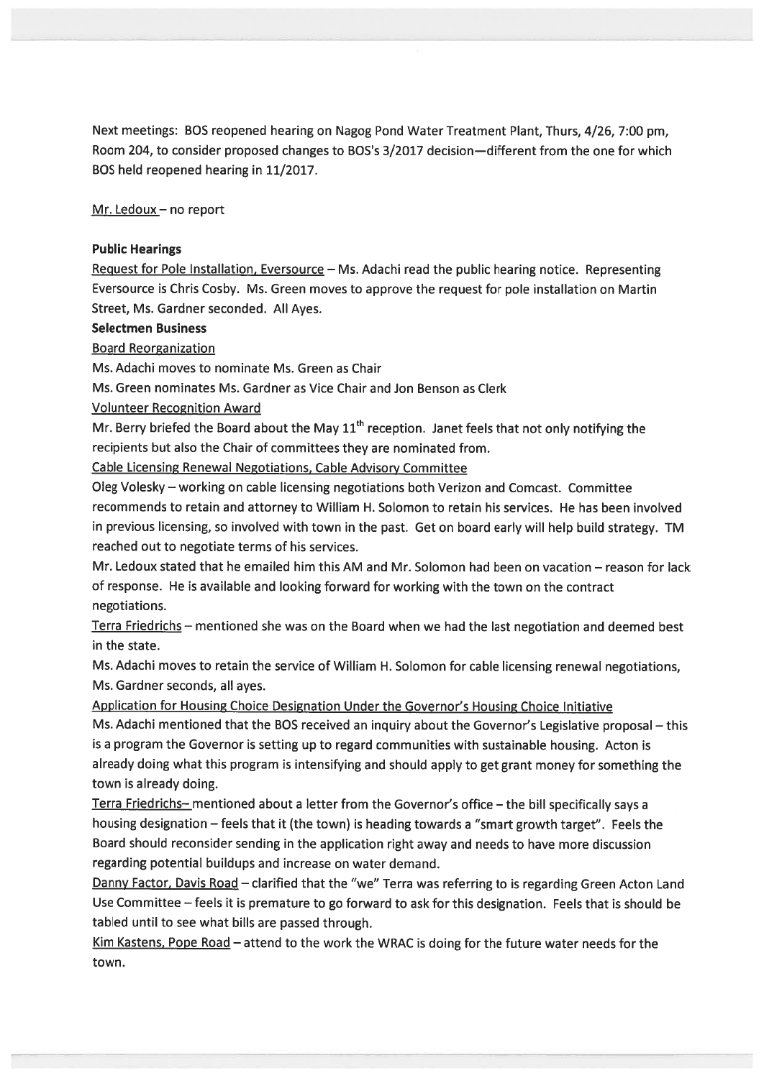Next meetings: BOS reopened hearing on Nagog Pond Water Treatment Plant, Thurs, 4/26, 7:00 pm, Room 204, to consider proposed changes to BOS's 3/2017 decision—different from the one for which BOS held reopened hearing in 11/2017.

Mr. Ledoux — no repor<sup>t</sup>

#### Public Hearings

Request for Pole Installation, Eversource  $-$  Ms. Adachi read the public hearing notice. Representing Eversource is Chris Cosby. Ms. Green moves to approve the reques<sup>t</sup> for pole installation on Martin Street, Ms. Gardner seconded. All Ayes.

#### Selectmen Business

## Board Reorganization

Ms. Adachi moves to nominate Ms. Green as Chair

Ms. Green nominates Ms. Gardner as Vice Chair and Jon Benson as Clerk

Volunteer Recognition Award

Mr. Berry briefed the Board about the May  $11<sup>th</sup>$  reception. Janet feels that not only notifying the recipients but also the Chair of committees they are nominated from.

Cable Licensing Renewal Negotiations, Cable Advisory Committee

Oleg Volesky — working on cable licensing negotiations both Verizon and Comcast. Committee recommends to retain and attorney to William H. Solomon to retain his services. He has been involved in previous licensing, so involved with town in the past. Get on board early will help build strategy. TM reached out to negotiate terms of his services.

Mr. Ledoux stated that he emailed him this AM and Mr. Solomon had been on vacation — reason for lack of response. He is available and looking forward for working with the town on the contract negotiations.

Terra Friedrichs — mentioned she was on the Board when we had the last negotiation and deemed best in the state.

Ms. Adachi moves to retain the service of William H. Solomon for cable licensing renewal negotiations, Ms. Gardner seconds, all ayes.

Application for Housing Choice Designation Under the Governor's Housing Choice Initiative

Ms. Adachi mentioned that the BOS received an inquiry about the Governor's Legislative proposa<sup>l</sup> — this is <sup>a</sup> program the Governor is setting up to regar<sup>d</sup> communities with sustainable housing. Acton is already doing what this program is intensifying and should apply to ge<sup>t</sup> gran<sup>t</sup> money for something the town is already doing.

Terra Friedrichs— mentioned about <sup>a</sup> letter from the Governor's office — the bill specifically says <sup>a</sup> housing designation — feels that it (the town) is heading towards <sup>a</sup> "smart growth target". Feels the Board should reconsider sending in the application right away and needs to have more discussion regarding potential buildups and increase on water demand.

Danny Factor, Davis Road - clarified that the "we" Terra was referring to is regarding Green Acton Land Use Committee — feels it is premature to go forward to ask for this designation. Feels that is should be tabled until to see what bills are passed through.

Kim Kastens, Pope Road – attend to the work the WRAC is doing for the future water needs for the town.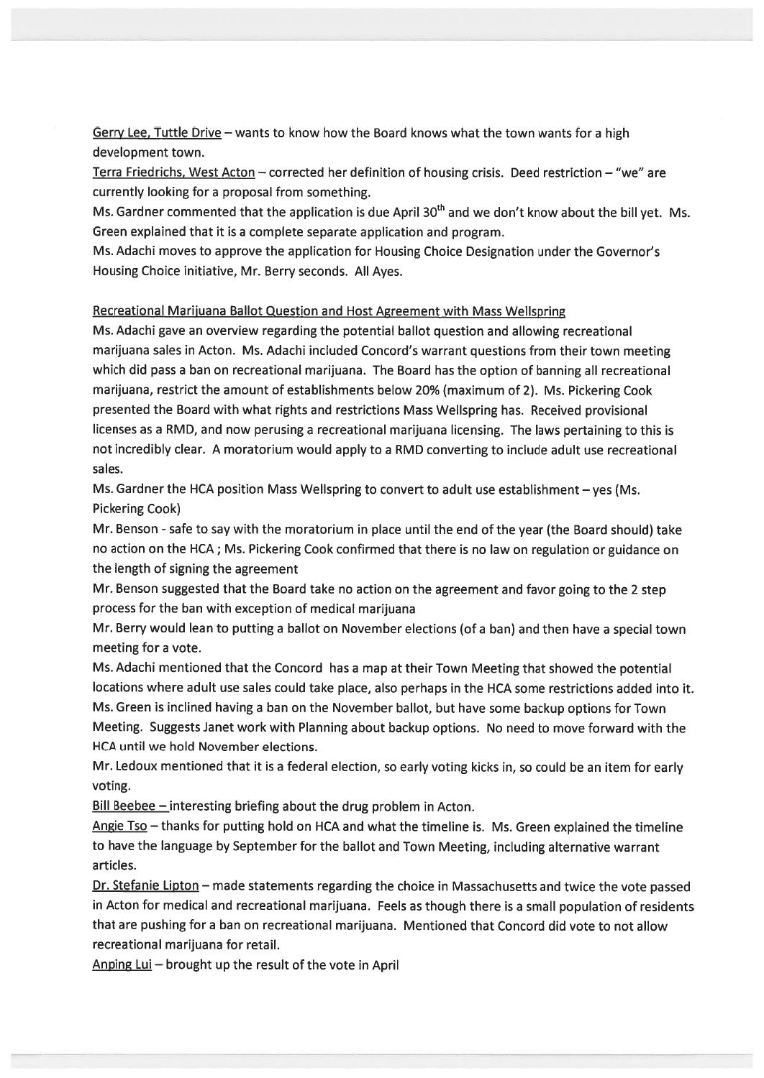Gerry Lee, Tuttle Drive - wants to know how the Board knows what the town wants for a high development town.

Terra Friedrichs, West Acton — corrected her definition of housing crisis. Deed restriction — "we" are currently looking for <sup>a</sup> proposal from something.

Ms. Gardner commented that the application is due April  $30<sup>th</sup>$  and we don't know about the bill yet. Ms. Green explained that it is <sup>a</sup> complete separate application and program.

Ms. Adachi moves to approve the application for Housing Choice Designation under the Governor's Housing Choice initiative, Mr. Berry seconds. All Ayes.

#### Recreational Mariiuana Ballot Question and Host Agreement with Mass Wellspring

Ms. Adachi gave an overview regarding the potential ballot question and allowing recreational marijuana sales in Acton. Ms. Adachi included Concord's warrant questions from their town meeting which did pass <sup>a</sup> ban on recreational marijuana. The Board has the option of banning all recreational marijuana, restrict the amount of establishments below 20% (maximum of 2). Ms. Pickering Cook presented the Board with what rights and restrictions Mass Wellspring has. Received provisional licenses as <sup>a</sup> RMD, and now perusing <sup>a</sup> recreational marijuana licensing. The laws pertaining to this is not incredibly clear. A moratorium would apply to <sup>a</sup> RMD converting to include adult use recreational sales.

Ms. Gardner the HCA position Mass Wellspring to convert to adult use establishment — yes (Ms. Pickering Cook)

Mr. Benson - safe to say with the moratorium in place until the end of the year (the Board should) take no action on the HCA; Ms. Pickering Cook confirmed that there is no law on regulation or guidance on the length of signing the agreemen<sup>t</sup>

Mr. Benson suggested that the Board take no action on the agreemen<sup>t</sup> and favor going to the <sup>2</sup> step process for the ban with exception of medical marijuana

Mr. Berry would lean to putting <sup>a</sup> ballot on November elections (of <sup>a</sup> ban) and then have <sup>a</sup> special town meeting for <sup>a</sup> vote.

Ms. Adachi mentioned that the Concord has <sup>a</sup> map at their Town Meeting that showed the potential locations where adult use sales could take <sup>p</sup>lace, also perhaps in the HCA some restrictions added into it. Ms. Green is inclined having <sup>a</sup> ban on the November ballot, but have some backup options for Town Meeting. Suggests Janet work with Planning about backup options. No need to move forward with the HCA until we hold November elections.

Mr. Ledoux mentioned that it is <sup>a</sup> federal election, so early voting kicks in, so could be an item for early voting.

Bill Beebee  $-$  interesting briefing about the drug problem in Acton.

Angie  $Ts_0$  – thanks for putting hold on HCA and what the timeline is. Ms. Green explained the timeline to have the language by September for the ballot and Town Meeting, including alternative warrant articles.

Dr. Stefanie Lipton - made statements regarding the choice in Massachusetts and twice the vote passed in Acton for medical and recreational marijuana. Feels as though there is <sup>a</sup> small population of residents that are pushing for <sup>a</sup> ban on recreational marijuana. Mentioned that Concord did vote to not allow recreational marijuana for retail.

Anping Lui — brought up the result of the vote in April